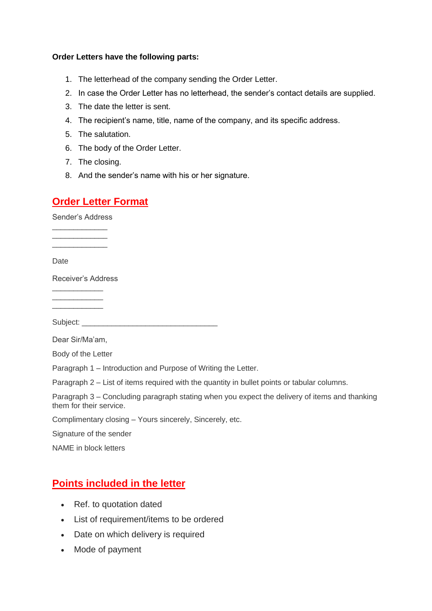#### **Order Letters have the following parts:**

- 1. The letterhead of the company sending the Order Letter.
- 2. In case the Order Letter has no letterhead, the sender's contact details are supplied.
- 3. The date the letter is sent.
- 4. The recipient's name, title, name of the company, and its specific address.
- 5. The salutation.
- 6. The body of the Order Letter.
- 7. The closing.
- 8. And the sender's name with his or her signature.

## **Order Letter Format**

Sender's Address \_\_\_\_\_\_\_\_\_\_\_\_\_

\_\_\_\_\_\_\_\_\_\_\_\_\_ \_\_\_\_\_\_\_\_\_\_\_\_\_

Date

Receiver's Address

\_\_\_\_\_\_\_\_\_\_\_\_ \_\_\_\_\_\_\_\_\_\_\_\_ \_\_\_\_\_\_\_\_\_\_\_\_

Subject: \_\_\_\_\_\_\_\_\_\_\_\_\_\_\_\_\_\_\_\_\_\_\_\_\_\_\_\_\_\_\_\_

Dear Sir/Ma'am,

Body of the Letter

Paragraph 1 – Introduction and Purpose of Writing the Letter.

Paragraph 2 – List of items required with the quantity in bullet points or tabular columns.

Paragraph 3 – Concluding paragraph stating when you expect the delivery of items and thanking them for their service.

Complimentary closing – Yours sincerely, Sincerely, etc.

Signature of the sender

NAME in block letters

# **Points included in the letter**

- Ref. to quotation dated
- List of requirement/items to be ordered
- Date on which delivery is required
- Mode of payment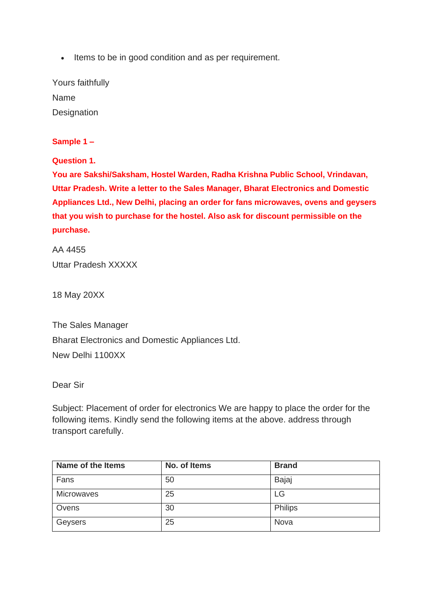• Items to be in good condition and as per requirement.

Yours faithfully Name **Designation** 

### **Sample 1 –**

**Question 1.**

**You are Sakshi/Saksham, Hostel Warden, Radha Krishna Public School, Vrindavan, Uttar Pradesh. Write a letter to the Sales Manager, Bharat Electronics and Domestic Appliances Ltd., New Delhi, placing an order for fans microwaves, ovens and geysers that you wish to purchase for the hostel. Also ask for discount permissible on the purchase.**

AA 4455 Uttar Pradesh XXXXX

18 May 20XX

The Sales Manager Bharat Electronics and Domestic Appliances Ltd. New Delhi 1100XX

Dear Sir

Subject: Placement of order for electronics We are happy to place the order for the following items. Kindly send the following items at the above. address through transport carefully.

| Name of the Items | No. of Items | <b>Brand</b>   |
|-------------------|--------------|----------------|
| Fans              | 50           | Bajaj          |
| Microwaves        | 25           | LG             |
| Ovens             | 30           | <b>Philips</b> |
| Geysers           | 25           | Nova           |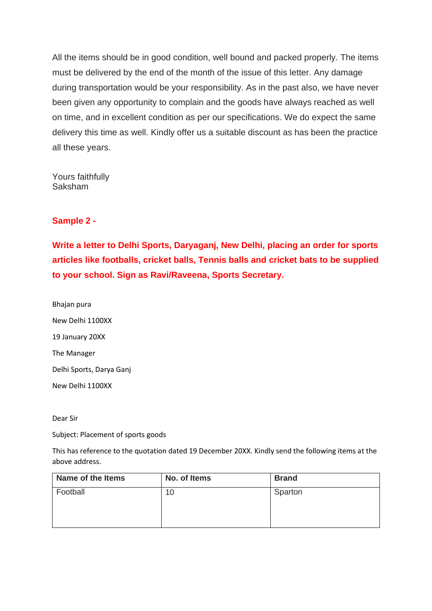All the items should be in good condition, well bound and packed properly. The items must be delivered by the end of the month of the issue of this letter. Any damage during transportation would be your responsibility. As in the past also, we have never been given any opportunity to complain and the goods have always reached as well on time, and in excellent condition as per our specifications. We do expect the same delivery this time as well. Kindly offer us a suitable discount as has been the practice all these years.

Yours faithfully Saksham

### **Sample 2 -**

**Write a letter to Delhi Sports, Daryaganj, New Delhi, placing an order for sports articles like footballs, cricket balls, Tennis balls and cricket bats to be supplied to your school. Sign as Ravi/Raveena, Sports Secretary.**

Bhajan pura New Delhi 1100XX 19 January 20XX The Manager Delhi Sports, Darya Ganj New Delhi 1100XX

Dear Sir

Subject: Placement of sports goods

This has reference to the quotation dated 19 December 20XX. Kindly send the following items at the above address.

| Name of the Items | No. of Items | <b>Brand</b> |
|-------------------|--------------|--------------|
| Football          | 10           | Sparton      |
|                   |              |              |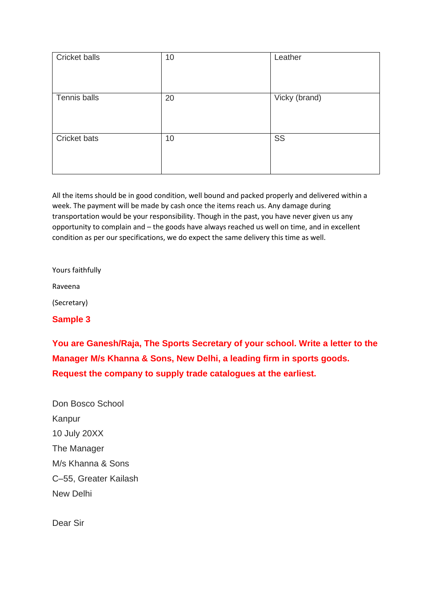| <b>Cricket balls</b> | 10 | Leather       |
|----------------------|----|---------------|
| Tennis balls         | 20 | Vicky (brand) |
| Cricket bats         | 10 | SS            |

All the items should be in good condition, well bound and packed properly and delivered within a week. The payment will be made by cash once the items reach us. Any damage during transportation would be your responsibility. Though in the past, you have never given us any opportunity to complain and – the goods have always reached us well on time, and in excellent condition as per our specifications, we do expect the same delivery this time as well.

Yours faithfully

Raveena

(Secretary)

**Sample 3** 

**You are Ganesh/Raja, The Sports Secretary of your school. Write a letter to the Manager M/s Khanna & Sons, New Delhi, a leading firm in sports goods. Request the company to supply trade catalogues at the earliest.**

Don Bosco School Kanpur 10 July 20XX The Manager M/s Khanna & Sons C–55, Greater Kailash New Delhi

Dear Sir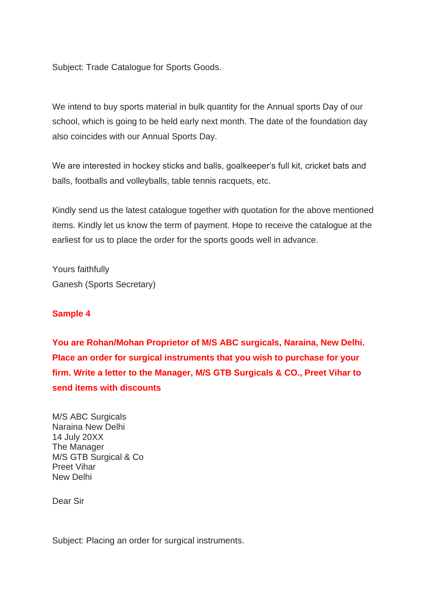Subject: Trade Catalogue for Sports Goods.

We intend to buy sports material in bulk quantity for the Annual sports Day of our school, which is going to be held early next month. The date of the foundation day also coincides with our Annual Sports Day.

We are interested in hockey sticks and balls, goalkeeper's full kit, cricket bats and balls, footballs and volleyballs, table tennis racquets, etc.

Kindly send us the latest catalogue together with quotation for the above mentioned items. Kindly let us know the term of payment. Hope to receive the catalogue at the earliest for us to place the order for the sports goods well in advance.

Yours faithfully Ganesh (Sports Secretary)

### **Sample 4**

**You are Rohan/Mohan Proprietor of M/S ABC surgicals, Naraina, New Delhi. Place an order for surgical instruments that you wish to purchase for your firm. Write a letter to the Manager, M/S GTB Surgicals & CO., Preet Vihar to send items with discounts**

M/S ABC Surgicals Naraina New Delhi 14 July 20XX The Manager M/S GTB Surgical & Co Preet Vihar New Delhi

Dear Sir

Subject: Placing an order for surgical instruments.